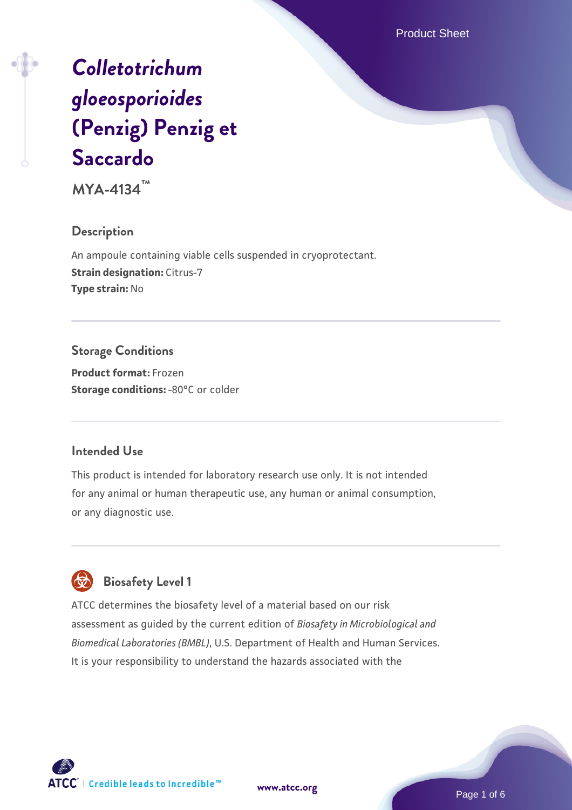Product Sheet

# *[Colletotrichum](https://www.atcc.org/products/mya-4134) [gloeosporioides](https://www.atcc.org/products/mya-4134)* **[\(Penzig\) Penzig et](https://www.atcc.org/products/mya-4134) [Saccardo](https://www.atcc.org/products/mya-4134)**

**MYA-4134™**

# **Description**

An ampoule containing viable cells suspended in cryoprotectant. **Strain designation: Citrus-7 Type strain:** No

### **Storage Conditions**

**Product format:** Frozen **Storage conditions: -80°C or colder** 

# **Intended Use**

This product is intended for laboratory research use only. It is not intended for any animal or human therapeutic use, any human or animal consumption, or any diagnostic use.



# **Biosafety Level 1**

ATCC determines the biosafety level of a material based on our risk assessment as guided by the current edition of *Biosafety in Microbiological and Biomedical Laboratories (BMBL)*, U.S. Department of Health and Human Services. It is your responsibility to understand the hazards associated with the

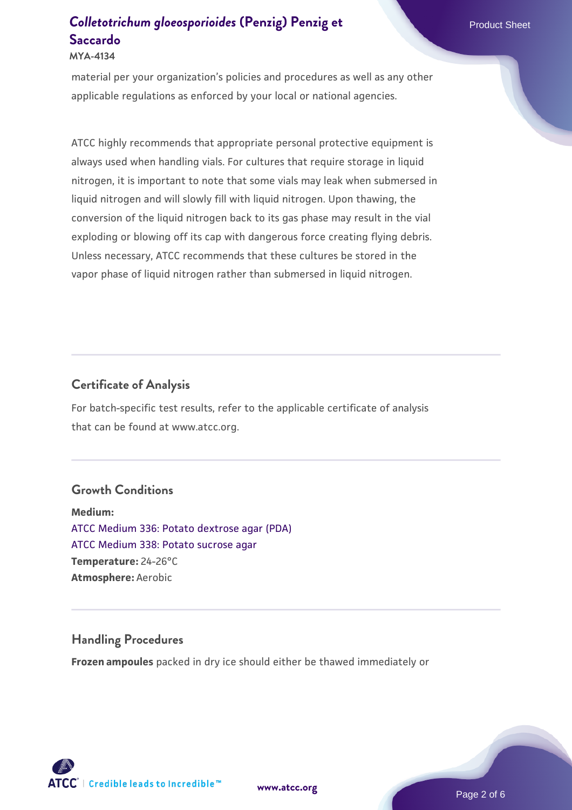#### **MYA-4134**

material per your organization's policies and procedures as well as any other applicable regulations as enforced by your local or national agencies.

ATCC highly recommends that appropriate personal protective equipment is always used when handling vials. For cultures that require storage in liquid nitrogen, it is important to note that some vials may leak when submersed in liquid nitrogen and will slowly fill with liquid nitrogen. Upon thawing, the conversion of the liquid nitrogen back to its gas phase may result in the vial exploding or blowing off its cap with dangerous force creating flying debris. Unless necessary, ATCC recommends that these cultures be stored in the vapor phase of liquid nitrogen rather than submersed in liquid nitrogen.

# **Certificate of Analysis**

For batch-specific test results, refer to the applicable certificate of analysis that can be found at www.atcc.org.

### **Growth Conditions**

**Medium:**  [ATCC Medium 336: Potato dextrose agar \(PDA\)](https://www.atcc.org/-/media/product-assets/documents/microbial-media-formulations/3/3/6/atcc-medium-336.pdf?rev=d9160ad44d934cd8b65175461abbf3b9) [ATCC Medium 338: Potato sucrose agar](https://www.atcc.org/-/media/product-assets/documents/microbial-media-formulations/3/3/8/atcc-medium-338.pdf?rev=46546b6f4a85482b856b30458c18db73) **Temperature:** 24-26°C **Atmosphere:** Aerobic

### **Handling Procedures**

**Frozen ampoules** packed in dry ice should either be thawed immediately or



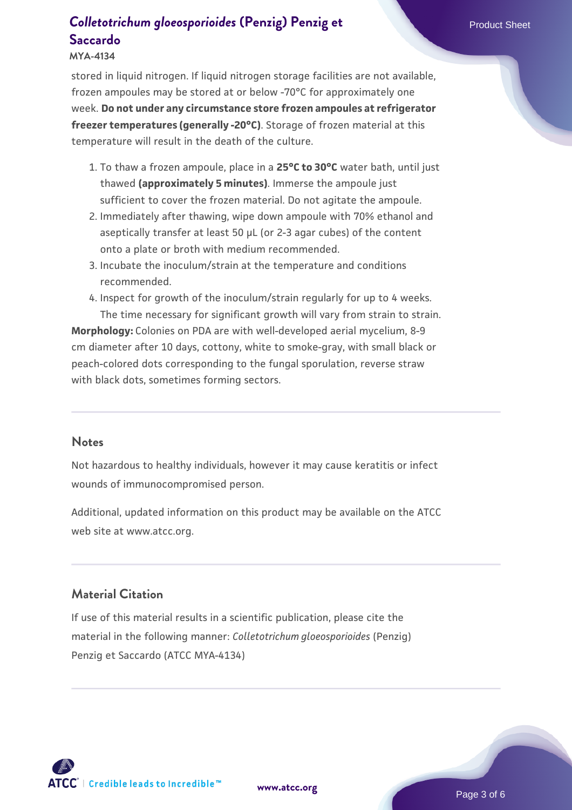#### **MYA-4134**

stored in liquid nitrogen. If liquid nitrogen storage facilities are not available, frozen ampoules may be stored at or below -70°C for approximately one week. **Do not under any circumstance store frozen ampoules at refrigerator freezer temperatures (generally -20°C)**. Storage of frozen material at this temperature will result in the death of the culture.

- 1. To thaw a frozen ampoule, place in a **25°C to 30°C** water bath, until just thawed **(approximately 5 minutes)**. Immerse the ampoule just sufficient to cover the frozen material. Do not agitate the ampoule.
- 2. Immediately after thawing, wipe down ampoule with 70% ethanol and aseptically transfer at least 50 µL (or 2-3 agar cubes) of the content onto a plate or broth with medium recommended.
- 3. Incubate the inoculum/strain at the temperature and conditions recommended.
- 4. Inspect for growth of the inoculum/strain regularly for up to 4 weeks. The time necessary for significant growth will vary from strain to strain.

**Morphology:** Colonies on PDA are with well-developed aerial mycelium, 8-9 cm diameter after 10 days, cottony, white to smoke-gray, with small black or peach-colored dots corresponding to the fungal sporulation, reverse straw with black dots, sometimes forming sectors.

#### **Notes**

Not hazardous to healthy individuals, however it may cause keratitis or infect wounds of immunocompromised person.

Additional, updated information on this product may be available on the ATCC web site at www.atcc.org.

### **Material Citation**

If use of this material results in a scientific publication, please cite the material in the following manner: *Colletotrichum gloeosporioides* (Penzig) Penzig et Saccardo (ATCC MYA-4134)

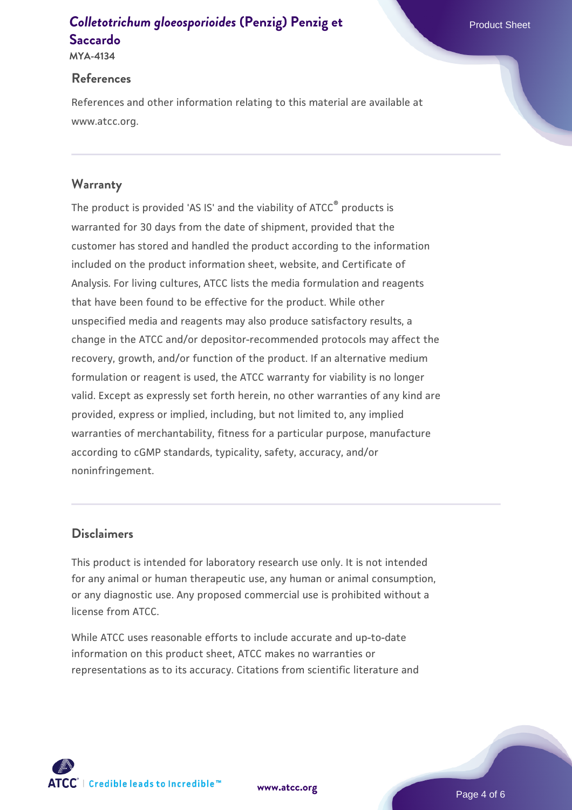**MYA-4134**

### **References**

References and other information relating to this material are available at www.atcc.org.

# **Warranty**

The product is provided 'AS IS' and the viability of ATCC® products is warranted for 30 days from the date of shipment, provided that the customer has stored and handled the product according to the information included on the product information sheet, website, and Certificate of Analysis. For living cultures, ATCC lists the media formulation and reagents that have been found to be effective for the product. While other unspecified media and reagents may also produce satisfactory results, a change in the ATCC and/or depositor-recommended protocols may affect the recovery, growth, and/or function of the product. If an alternative medium formulation or reagent is used, the ATCC warranty for viability is no longer valid. Except as expressly set forth herein, no other warranties of any kind are provided, express or implied, including, but not limited to, any implied warranties of merchantability, fitness for a particular purpose, manufacture according to cGMP standards, typicality, safety, accuracy, and/or noninfringement.

# **Disclaimers**

This product is intended for laboratory research use only. It is not intended for any animal or human therapeutic use, any human or animal consumption, or any diagnostic use. Any proposed commercial use is prohibited without a license from ATCC.

While ATCC uses reasonable efforts to include accurate and up-to-date information on this product sheet, ATCC makes no warranties or representations as to its accuracy. Citations from scientific literature and



**[www.atcc.org](http://www.atcc.org)**

Page 4 of 6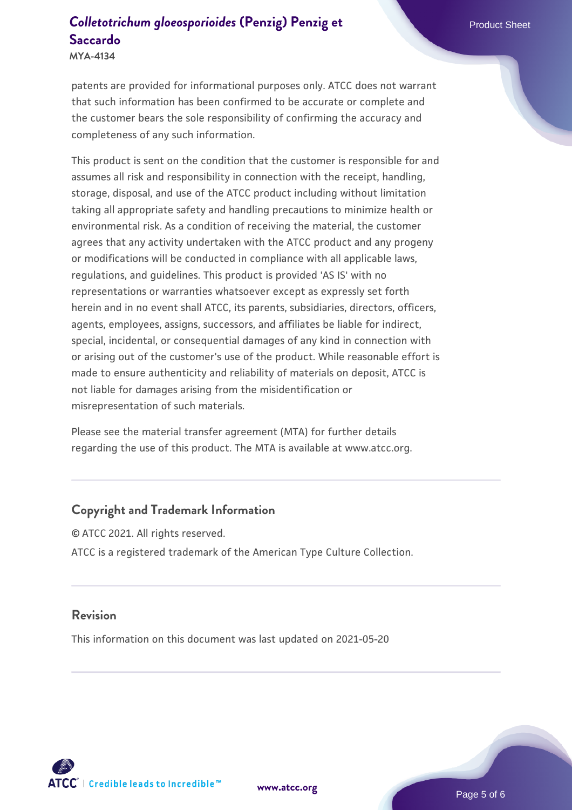**MYA-4134**

patents are provided for informational purposes only. ATCC does not warrant that such information has been confirmed to be accurate or complete and the customer bears the sole responsibility of confirming the accuracy and completeness of any such information.

This product is sent on the condition that the customer is responsible for and assumes all risk and responsibility in connection with the receipt, handling, storage, disposal, and use of the ATCC product including without limitation taking all appropriate safety and handling precautions to minimize health or environmental risk. As a condition of receiving the material, the customer agrees that any activity undertaken with the ATCC product and any progeny or modifications will be conducted in compliance with all applicable laws, regulations, and guidelines. This product is provided 'AS IS' with no representations or warranties whatsoever except as expressly set forth herein and in no event shall ATCC, its parents, subsidiaries, directors, officers, agents, employees, assigns, successors, and affiliates be liable for indirect, special, incidental, or consequential damages of any kind in connection with or arising out of the customer's use of the product. While reasonable effort is made to ensure authenticity and reliability of materials on deposit, ATCC is not liable for damages arising from the misidentification or misrepresentation of such materials.

Please see the material transfer agreement (MTA) for further details regarding the use of this product. The MTA is available at www.atcc.org.

### **Copyright and Trademark Information**

© ATCC 2021. All rights reserved. ATCC is a registered trademark of the American Type Culture Collection.

#### **Revision**

This information on this document was last updated on 2021-05-20